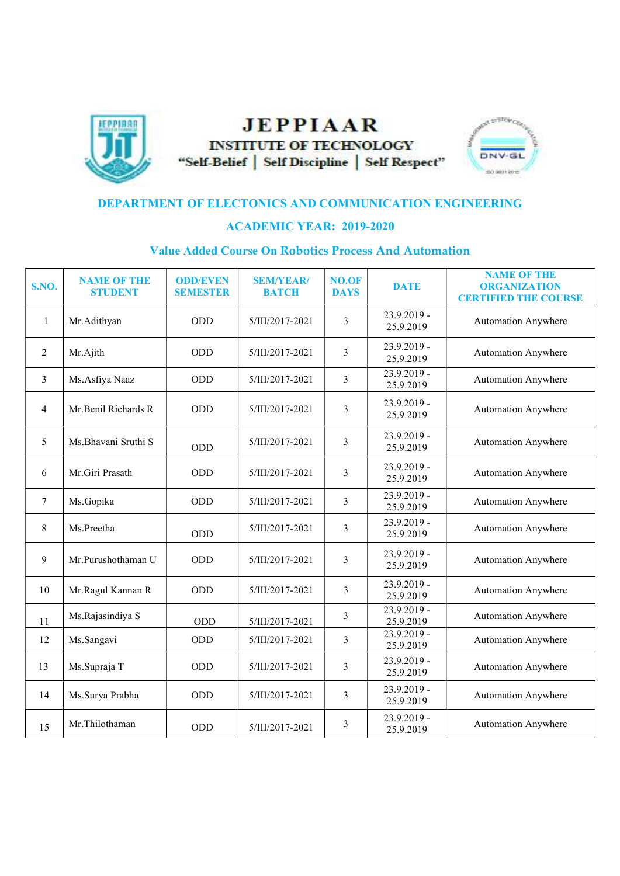

## **JEPPIAAR INSTITUTE OF TECHNOLOGY** "Self-Belief | Self Discipline | Self Respect"



## DEPARTMENT OF ELECTONICS AND COMMUNICATION ENGINEERING

## ACADEMIC YEAR: 2019-2020

## Value Added Course On Robotics Process And Automation

| <b>S.NO.</b>   | <b>NAME OF THE</b><br><b>STUDENT</b> | <b>ODD/EVEN</b><br><b>SEMESTER</b> | <b>SEM/YEAR/</b><br><b>BATCH</b> | <b>NO.OF</b><br><b>DAYS</b> | <b>DATE</b>              | <b>NAME OF THE</b><br><b>ORGANIZATION</b><br><b>CERTIFIED THE COURSE</b> |
|----------------|--------------------------------------|------------------------------------|----------------------------------|-----------------------------|--------------------------|--------------------------------------------------------------------------|
| $\mathbf{1}$   | Mr.Adithyan                          | <b>ODD</b>                         | 5/III/2017-2021                  | 3                           | 23.9.2019 -<br>25.9.2019 | <b>Automation Anywhere</b>                                               |
| 2              | Mr.Ajith                             | ODD                                | 5/III/2017-2021                  | 3                           | 23.9.2019 -<br>25.9.2019 | <b>Automation Anywhere</b>                                               |
| $\overline{3}$ | Ms.Asfiya Naaz                       | ODD                                | 5/III/2017-2021                  | $\overline{3}$              | 23.9.2019 -<br>25.9.2019 | <b>Automation Anywhere</b>                                               |
| $\overline{4}$ | Mr.Benil Richards R                  | <b>ODD</b>                         | 5/III/2017-2021                  | $\overline{3}$              | 23.9.2019 -<br>25.9.2019 | <b>Automation Anywhere</b>                                               |
| 5              | Ms.Bhavani Sruthi S                  | ODD                                | 5/III/2017-2021                  | 3                           | 23.9.2019 -<br>25.9.2019 | <b>Automation Anywhere</b>                                               |
| 6              | Mr.Giri Prasath                      | <b>ODD</b>                         | 5/III/2017-2021                  | 3                           | 23.9.2019 -<br>25.9.2019 | <b>Automation Anywhere</b>                                               |
| 7              | Ms.Gopika                            | ODD                                | 5/III/2017-2021                  | $\overline{3}$              | 23.9.2019 -<br>25.9.2019 | <b>Automation Anywhere</b>                                               |
| 8              | Ms.Preetha                           | <b>ODD</b>                         | 5/III/2017-2021                  | $\overline{3}$              | 23.9.2019 -<br>25.9.2019 | <b>Automation Anywhere</b>                                               |
| 9              | Mr.Purushothaman U                   | ODD                                | 5/III/2017-2021                  | 3                           | 23.9.2019 -<br>25.9.2019 | <b>Automation Anywhere</b>                                               |
| 10             | Mr.Ragul Kannan R                    | <b>ODD</b>                         | 5/III/2017-2021                  | 3                           | 23.9.2019 -<br>25.9.2019 | <b>Automation Anywhere</b>                                               |
| 11             | Ms.Rajasindiya S                     | ODD                                | 5/III/2017-2021                  | 3                           | 23.9.2019 -<br>25.9.2019 | <b>Automation Anywhere</b>                                               |
| 12             | Ms.Sangavi                           | ODD                                | 5/III/2017-2021                  | 3                           | 23.9.2019 -<br>25.9.2019 | <b>Automation Anywhere</b>                                               |
| 13             | Ms.Supraja T                         | ODD                                | 5/III/2017-2021                  | 3                           | 23.9.2019 -<br>25.9.2019 | <b>Automation Anywhere</b>                                               |
| 14             | Ms.Surya Prabha                      | ODD                                | 5/III/2017-2021                  | 3                           | 23.9.2019 -<br>25.9.2019 | <b>Automation Anywhere</b>                                               |
| 15             | Mr.Thilothaman                       | ODD                                | 5/III/2017-2021                  | 3                           | 23.9.2019 -<br>25.9.2019 | <b>Automation Anywhere</b>                                               |